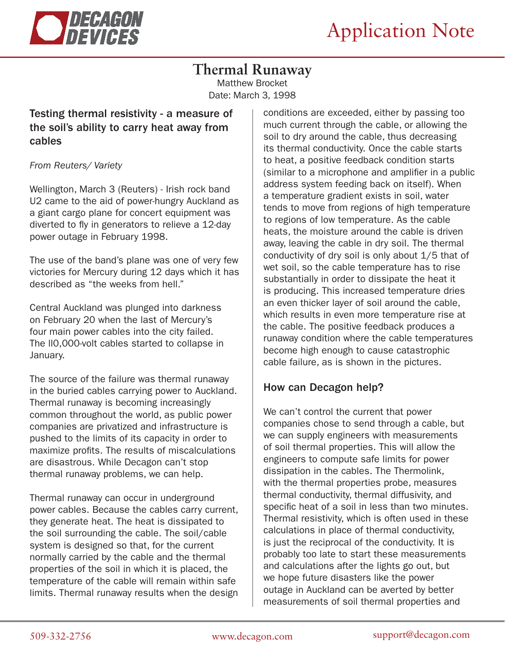

# **Thermal Runaway**

Matthew Brocket Date: March 3, 1998

## Testing thermal resistivity - a measure of the soil's ability to carry heat away from cables

#### *From Reuters/ Variety*

Wellington, March 3 (Reuters) - Irish rock band U2 came to the aid of power-hungry Auckland as a giant cargo plane for concert equipment was diverted to fly in generators to relieve a 12-day power outage in February 1998.

The use of the band's plane was one of very few victories for Mercury during 12 days which it has described as "the weeks from hell."

Central Auckland was plunged into darkness on February 20 when the last of Mercury's four main power cables into the city failed. The ll0,000-volt cables started to collapse in January.

The source of the failure was thermal runaway in the buried cables carrying power to Auckland. Thermal runaway is becoming increasingly common throughout the world, as public power companies are privatized and infrastructure is pushed to the limits of its capacity in order to maximize profits. The results of miscalculations are disastrous. While Decagon can't stop thermal runaway problems, we can help.

Thermal runaway can occur in underground power cables. Because the cables carry current, they generate heat. The heat is dissipated to the soil surrounding the cable. The soil/cable system is designed so that, for the current normally carried by the cable and the thermal properties of the soil in which it is placed, the temperature of the cable will remain within safe limits. Thermal runaway results when the design

conditions are exceeded, either by passing too much current through the cable, or allowing the soil to dry around the cable, thus decreasing its thermal conductivity. Once the cable starts to heat, a positive feedback condition starts (similar to a microphone and amplifier in a public address system feeding back on itself). When a temperature gradient exists in soil, water tends to move from regions of high temperature to regions of low temperature. As the cable heats, the moisture around the cable is driven away, leaving the cable in dry soil. The thermal conductivity of dry soil is only about 1/5 that of wet soil, so the cable temperature has to rise substantially in order to dissipate the heat it is producing. This increased temperature dries an even thicker layer of soil around the cable, which results in even more temperature rise at the cable. The positive feedback produces a runaway condition where the cable temperatures become high enough to cause catastrophic cable failure, as is shown in the pictures.

### How can Decagon help?

We can't control the current that power companies chose to send through a cable, but we can supply engineers with measurements of soil thermal properties. This will allow the engineers to compute safe limits for power dissipation in the cables. The Thermolink, with the thermal properties probe, measures thermal conductivity, thermal diffusivity, and specific heat of a soil in less than two minutes. Thermal resistivity, which is often used in these calculations in place of thermal conductivity, is just the reciprocal of the conductivity. It is probably too late to start these measurements and calculations after the lights go out, but we hope future disasters like the power outage in Auckland can be averted by better measurements of soil thermal properties and